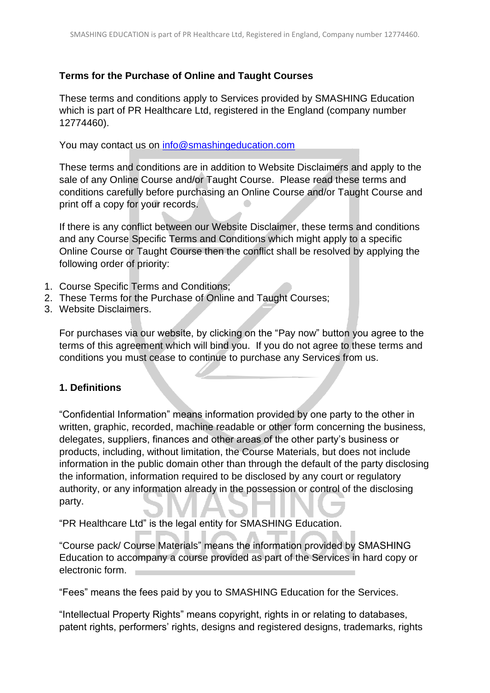## **Terms for the Purchase of Online and Taught Courses**

These terms and conditions apply to Services provided by SMASHING Education which is part of PR Healthcare Ltd, registered in the England (company number 12774460).

You may contact us on [info@smashingeducation.com](mailto:info@smashingeducation.com)

These terms and conditions are in addition to Website Disclaimers and apply to the sale of any Online Course and/or Taught Course. Please read these terms and conditions carefully before purchasing an Online Course and/or Taught Course and print off a copy for your records.

If there is any conflict between our Website Disclaimer, these terms and conditions and any Course Specific Terms and Conditions which might apply to a specific Online Course or Taught Course then the conflict shall be resolved by applying the following order of priority:

- 1. Course Specific Terms and Conditions;
- 2. These Terms for the Purchase of Online and Taught Courses;
- 3. Website Disclaimers.

For purchases via our website, by clicking on the "Pay now" button you agree to the terms of this agreement which will bind you. If you do not agree to these terms and conditions you must cease to continue to purchase any Services from us.

## **1. Definitions**

"Confidential Information" means information provided by one party to the other in written, graphic, recorded, machine readable or other form concerning the business, delegates, suppliers, finances and other areas of the other party's business or products, including, without limitation, the Course Materials, but does not include information in the public domain other than through the default of the party disclosing the information, information required to be disclosed by any court or regulatory authority, or any information already in the possession or control of the disclosing party.

"PR Healthcare Ltd" is the legal entity for SMASHING Education.

"Course pack/ Course Materials" means the information provided by SMASHING Education to accompany a course provided as part of the Services in hard copy or electronic form.

"Fees" means the fees paid by you to SMASHING Education for the Services.

"Intellectual Property Rights" means copyright, rights in or relating to databases, patent rights, performers' rights, designs and registered designs, trademarks, rights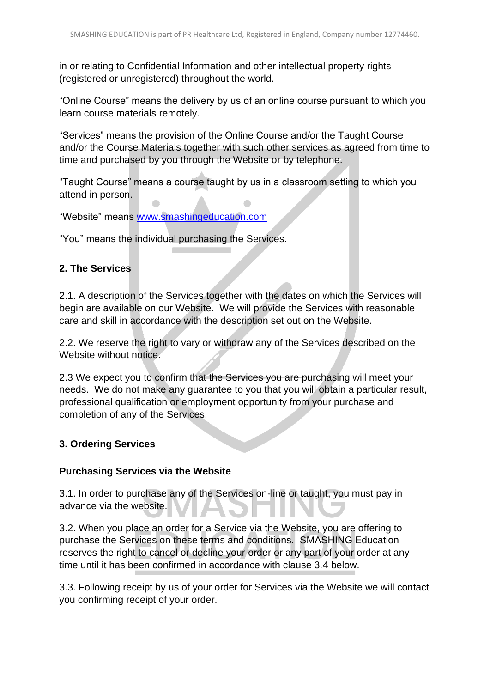in or relating to Confidential Information and other intellectual property rights (registered or unregistered) throughout the world.

"Online Course" means the delivery by us of an online course pursuant to which you learn course materials remotely.

"Services" means the provision of the Online Course and/or the Taught Course and/or the Course Materials together with such other services as agreed from time to time and purchased by you through the Website or by telephone.

"Taught Course" means a course taught by us in a classroom setting to which you attend in person.

"Website" means [www.smashingeducation.com](http://www.smashingeducation.com/)

"You" means the individual purchasing the Services.

## **2. The Services**

2.1. A description of the Services together with the dates on which the Services will begin are available on our Website. We will provide the Services with reasonable care and skill in accordance with the description set out on the Website.

2.2. We reserve the right to vary or withdraw any of the Services described on the Website without notice.

2.3 We expect you to confirm that the Services you are purchasing will meet your needs. We do not make any guarantee to you that you will obtain a particular result, professional qualification or employment opportunity from your purchase and completion of any of the Services.

## **3. Ordering Services**

## **Purchasing Services via the Website**

3.1. In order to purchase any of the Services on-line or taught, you must pay in advance via the website.

3.2. When you place an order for a Service via the Website, you are offering to purchase the Services on these terms and conditions. SMASHING Education reserves the right to cancel or decline your order or any part of your order at any time until it has been confirmed in accordance with clause 3.4 below.

3.3. Following receipt by us of your order for Services via the Website we will contact you confirming receipt of your order.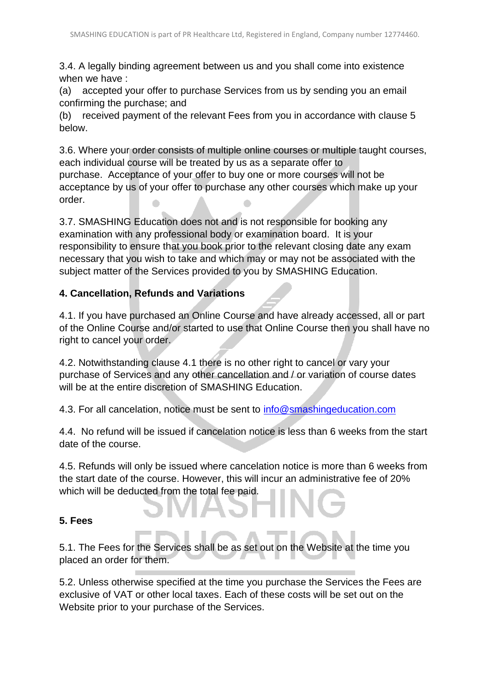3.4. A legally binding agreement between us and you shall come into existence when we have :

(a) accepted your offer to purchase Services from us by sending you an email confirming the purchase; and

(b) received payment of the relevant Fees from you in accordance with clause 5 below.

3.6. Where your order consists of multiple online courses or multiple taught courses, each individual course will be treated by us as a separate offer to purchase. Acceptance of your offer to buy one or more courses will not be acceptance by us of your offer to purchase any other courses which make up your order.  $\overline{\phantom{a}}$ 

3.7. SMASHING Education does not and is not responsible for booking any examination with any professional body or examination board. It is your responsibility to ensure that you book prior to the relevant closing date any exam necessary that you wish to take and which may or may not be associated with the subject matter of the Services provided to you by SMASHING Education.

## **4. Cancellation, Refunds and Variations**

4.1. If you have purchased an Online Course and have already accessed, all or part of the Online Course and/or started to use that Online Course then you shall have no right to cancel your order.

4.2. Notwithstanding clause 4.1 there is no other right to cancel or vary your purchase of Services and any other cancellation and / or variation of course dates will be at the entire discretion of SMASHING Education.

4.3. For all cancelation, notice must be sent to [info@smashingeducation.com](mailto:info@smashingeducation.com)

4.4. No refund will be issued if cancelation notice is less than 6 weeks from the start date of the course.

4.5. Refunds will only be issued where cancelation notice is more than 6 weeks from the start date of the course. However, this will incur an administrative fee of 20% which will be deducted from the total fee paid.

# **5. Fees**

5.1. The Fees for the Services shall be as set out on the Website at the time you placed an order for them.

5.2. Unless otherwise specified at the time you purchase the Services the Fees are exclusive of VAT or other local taxes. Each of these costs will be set out on the Website prior to your purchase of the Services.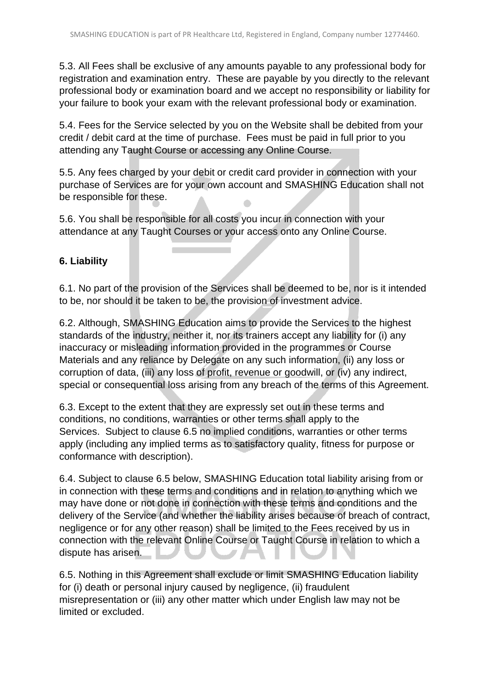5.3. All Fees shall be exclusive of any amounts payable to any professional body for registration and examination entry. These are payable by you directly to the relevant professional body or examination board and we accept no responsibility or liability for your failure to book your exam with the relevant professional body or examination.

5.4. Fees for the Service selected by you on the Website shall be debited from your credit / debit card at the time of purchase. Fees must be paid in full prior to you attending any Taught Course or accessing any Online Course.

5.5. Any fees charged by your debit or credit card provider in connection with your purchase of Services are for your own account and SMASHING Education shall not be responsible for these.  $\bullet$ 

5.6. You shall be responsible for all costs you incur in connection with your attendance at any Taught Courses or your access onto any Online Course.

# **6. Liability**

6.1. No part of the provision of the Services shall be deemed to be, nor is it intended to be, nor should it be taken to be, the provision of investment advice.

6.2. Although, SMASHING Education aims to provide the Services to the highest standards of the industry, neither it, nor its trainers accept any liability for (i) any inaccuracy or misleading information provided in the programmes or Course Materials and any reliance by Delegate on any such information, (ii) any loss or corruption of data, (iii) any loss of profit, revenue or goodwill, or (iv) any indirect, special or consequential loss arising from any breach of the terms of this Agreement.

6.3. Except to the extent that they are expressly set out in these terms and conditions, no conditions, warranties or other terms shall apply to the Services. Subject to clause 6.5 no implied conditions, warranties or other terms apply (including any implied terms as to satisfactory quality, fitness for purpose or conformance with description).

6.4. Subject to clause 6.5 below, SMASHING Education total liability arising from or in connection with these terms and conditions and in relation to anything which we may have done or not done in connection with these terms and conditions and the delivery of the Service (and whether the liability arises because of breach of contract, negligence or for any other reason) shall be limited to the Fees received by us in connection with the relevant Online Course or Taught Course in relation to which a dispute has arisen.

6.5. Nothing in this Agreement shall exclude or limit SMASHING Education liability for (i) death or personal injury caused by negligence, (ii) fraudulent misrepresentation or (iii) any other matter which under English law may not be limited or excluded.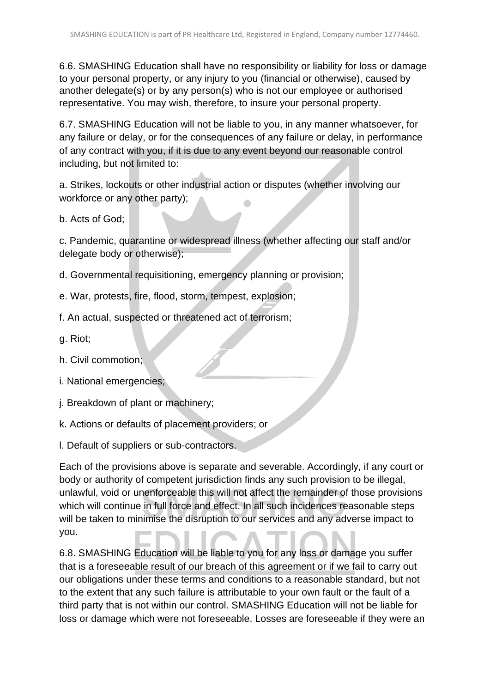6.6. SMASHING Education shall have no responsibility or liability for loss or damage to your personal property, or any injury to you (financial or otherwise), caused by another delegate(s) or by any person(s) who is not our employee or authorised representative. You may wish, therefore, to insure your personal property.

6.7. SMASHING Education will not be liable to you, in any manner whatsoever, for any failure or delay, or for the consequences of any failure or delay, in performance of any contract with you, if it is due to any event beyond our reasonable control including, but not limited to:

a. Strikes, lockouts or other industrial action or disputes (whether involving our workforce or any other party);  $\bullet$ 

b. Acts of God;

c. Pandemic, quarantine or widespread illness (whether affecting our staff and/or delegate body or otherwise);

d. Governmental requisitioning, emergency planning or provision;

e. War, protests, fire, flood, storm, tempest, explosion;

f. An actual, suspected or threatened act of terrorism;

g. Riot;

h. Civil commotion;

i. National emergencies;

j. Breakdown of plant or machinery;

k. Actions or defaults of placement providers; or

l. Default of suppliers or sub-contractors.

Each of the provisions above is separate and severable. Accordingly, if any court or body or authority of competent jurisdiction finds any such provision to be illegal, unlawful, void or unenforceable this will not affect the remainder of those provisions which will continue in full force and effect. In all such incidences reasonable steps will be taken to minimise the disruption to our services and any adverse impact to you.

6.8. SMASHING Education will be liable to you for any loss or damage you suffer that is a foreseeable result of our breach of this agreement or if we fail to carry out our obligations under these terms and conditions to a reasonable standard, but not to the extent that any such failure is attributable to your own fault or the fault of a third party that is not within our control. SMASHING Education will not be liable for loss or damage which were not foreseeable. Losses are foreseeable if they were an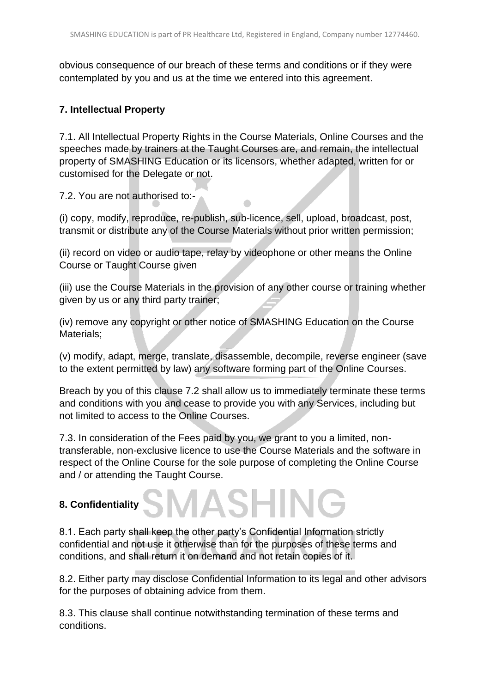obvious consequence of our breach of these terms and conditions or if they were contemplated by you and us at the time we entered into this agreement.

## **7. Intellectual Property**

7.1. All Intellectual Property Rights in the Course Materials, Online Courses and the speeches made by trainers at the Taught Courses are, and remain, the intellectual property of SMASHING Education or its licensors, whether adapted, written for or customised for the Delegate or not.

7.2. You are not authorised to:-

(i) copy, modify, reproduce, re-publish, sub-licence, sell, upload, broadcast, post, transmit or distribute any of the Course Materials without prior written permission;

(ii) record on video or audio tape, relay by videophone or other means the Online Course or Taught Course given

(iii) use the Course Materials in the provision of any other course or training whether given by us or any third party trainer;

(iv) remove any copyright or other notice of SMASHING Education on the Course Materials;

(v) modify, adapt, merge, translate, disassemble, decompile, reverse engineer (save to the extent permitted by law) any software forming part of the Online Courses.

Breach by you of this clause 7.2 shall allow us to immediately terminate these terms and conditions with you and cease to provide you with any Services, including but not limited to access to the Online Courses.

7.3. In consideration of the Fees paid by you, we grant to you a limited, nontransferable, non-exclusive licence to use the Course Materials and the software in respect of the Online Course for the sole purpose of completing the Online Course and / or attending the Taught Course.

**SMASHIN** 

# **8. Confidentiality**

8.1. Each party shall keep the other party's Confidential Information strictly confidential and not use it otherwise than for the purposes of these terms and conditions, and shall return it on demand and not retain copies of it.

8.2. Either party may disclose Confidential Information to its legal and other advisors for the purposes of obtaining advice from them.

8.3. This clause shall continue notwithstanding termination of these terms and conditions.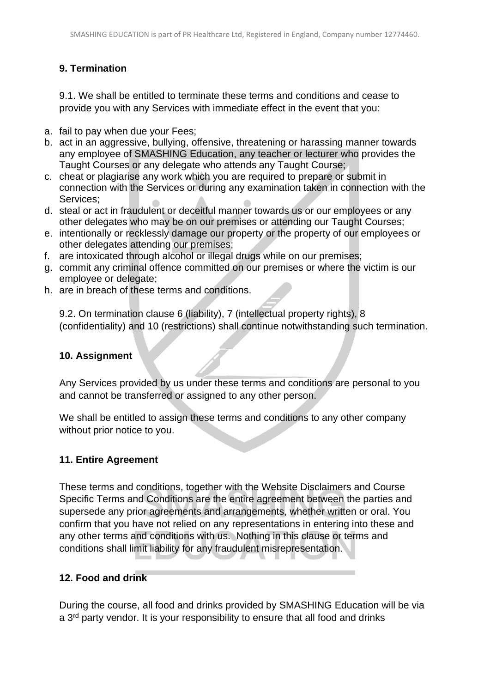# **9. Termination**

9.1. We shall be entitled to terminate these terms and conditions and cease to provide you with any Services with immediate effect in the event that you:

- a. fail to pay when due your Fees;
- b. act in an aggressive, bullying, offensive, threatening or harassing manner towards any employee of SMASHING Education, any teacher or lecturer who provides the Taught Courses or any delegate who attends any Taught Course;
- c. cheat or plagiarise any work which you are required to prepare or submit in connection with the Services or during any examination taken in connection with the Services;
- d. steal or act in fraudulent or deceitful manner towards us or our employees or any other delegates who may be on our premises or attending our Taught Courses;
- e. intentionally or recklessly damage our property or the property of our employees or other delegates attending our premises;
- f. are intoxicated through alcohol or illegal drugs while on our premises;
- g. commit any criminal offence committed on our premises or where the victim is our employee or delegate;
- h. are in breach of these terms and conditions.

9.2. On termination clause 6 (liability), 7 (intellectual property rights), 8 (confidentiality) and 10 (restrictions) shall continue notwithstanding such termination.

## **10. Assignment**

Any Services provided by us under these terms and conditions are personal to you and cannot be transferred or assigned to any other person.

We shall be entitled to assign these terms and conditions to any other company without prior notice to you.

## **11. Entire Agreement**

These terms and conditions, together with the Website Disclaimers and Course Specific Terms and Conditions are the entire agreement between the parties and supersede any prior agreements and arrangements, whether written or oral. You confirm that you have not relied on any representations in entering into these and any other terms and conditions with us. Nothing in this clause or terms and conditions shall limit liability for any fraudulent misrepresentation.

## **12. Food and drink**

During the course, all food and drinks provided by SMASHING Education will be via a 3<sup>rd</sup> party vendor. It is your responsibility to ensure that all food and drinks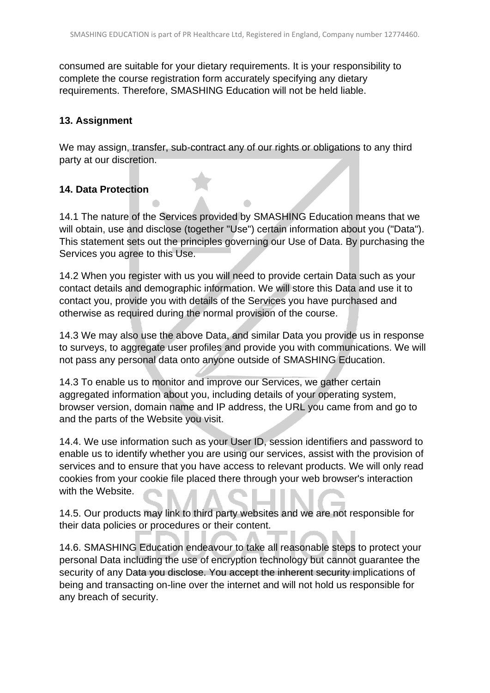consumed are suitable for your dietary requirements. It is your responsibility to complete the course registration form accurately specifying any dietary requirements. Therefore, SMASHING Education will not be held liable.

## **13. Assignment**

We may assign, transfer, sub-contract any of our rights or obligations to any third party at our discretion.

## **14. Data Protection**

14.1 The nature of the Services provided by SMASHING Education means that we will obtain, use and disclose (together "Use") certain information about you ("Data"). This statement sets out the principles governing our Use of Data. By purchasing the Services you agree to this Use.

14.2 When you register with us you will need to provide certain Data such as your contact details and demographic information. We will store this Data and use it to contact you, provide you with details of the Services you have purchased and otherwise as required during the normal provision of the course.

14.3 We may also use the above Data, and similar Data you provide us in response to surveys, to aggregate user profiles and provide you with communications. We will not pass any personal data onto anyone outside of SMASHING Education.

14.3 To enable us to monitor and improve our Services, we gather certain aggregated information about you, including details of your operating system, browser version, domain name and IP address, the URL you came from and go to and the parts of the Website you visit.

14.4. We use information such as your User ID, session identifiers and password to enable us to identify whether you are using our services, assist with the provision of services and to ensure that you have access to relevant products. We will only read cookies from your cookie file placed there through your web browser's interaction with the Website.

14.5. Our products may link to third party websites and we are not responsible for their data policies or procedures or their content.

14.6. SMASHING Education endeavour to take all reasonable steps to protect your personal Data including the use of encryption technology but cannot guarantee the security of any Data you disclose. You accept the inherent security implications of being and transacting on-line over the internet and will not hold us responsible for any breach of security.